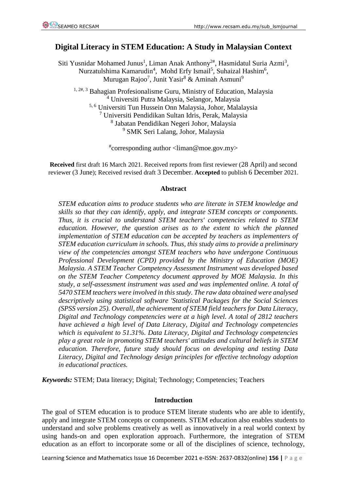# **Digital Literacy in STEM Education: A Study in Malaysian Context**

Siti Yusnidar Mohamed Junus<sup>1</sup>, Liman Anak Anthony<sup>2#</sup>, Hasmidatul Suria Azmi<sup>3</sup>, Nurzatulshima Kamarudin<sup>4</sup>, Mohd Erfy Ismail<sup>5</sup>, Suhaizal Hashim<sup>6</sup>, Murugan Rajoo<sup>7</sup>, Junit Yasir<sup>8</sup> & Aminah Asmuni<sup>9</sup>

<sup>1, 2#, 3</sup> Bahagian Profesionalisme Guru, Ministry of Education, Malaysia <sup>4</sup> Universiti Putra Malaysia, Selangor, Malaysia 5, 6 Universiti Tun Hussein Onn Malaysia, Johor, Malalaysia <sup>7</sup> Universiti Pendidikan Sultan Idris, Perak, Malaysia 8 Jabatan Pendidikan Negeri Johor, Malaysia

<sup>9</sup> SMK Seri Lalang, Johor, Malaysia

# corresponding author <liman@moe.gov.my>

**Received** first draft 16 March 2021. Received reports from first reviewer (28 April) and second reviewer (3 June); Received revised draft 3 December. **Accepted** to publish 6 December 2021.

#### **Abstract**

*STEM education aims to produce students who are literate in STEM knowledge and skills so that they can identify, apply, and integrate STEM concepts or components. Thus, it is crucial to understand STEM teachers' competencies related to STEM education. However, the question arises as to the extent to which the planned implementation of STEM education can be accepted by teachers as implementers of STEM education curriculum in schools. Thus, this study aims to provide a preliminary view of the competencies amongst STEM teachers who have undergone Continuous Professional Development (CPD) provided by the Ministry of Education (MOE) Malaysia. A STEM Teacher Competency Assessment Instrument was developed based on the STEM Teacher Competency document approved by MOE Malaysia. In this study, a self-assessment instrument was used and was implemented online. A total of 5470 STEM teachers were involved in this study. The raw data obtained were analysed descriptively using statistical software 'Statistical Packages for the Social Sciences (SPSS version 25). Overall, the achievement of STEM field teachers for Data Literacy, Digital and Technology competencies were at a high level. A total of 2812 teachers have achieved a high level of Data Literacy, Digital and Technology competencies which is equivalent to 51.31%. Data Literacy, Digital and Technology competencies play a great role in promoting STEM teachers' attitudes and cultural beliefs in STEM education. Therefore, future study should focus on developing and testing Data Literacy, Digital and Technology design principles for effective technology adoption in educational practices.*

*Keywords:* STEM; Data literacy; Digital; Technology; Competencies; Teachers

#### **Introduction**

The goal of STEM education is to produce STEM literate students who are able to identify, apply and integrate STEM concepts or components. STEM education also enables students to understand and solve problems creatively as well as innovatively in a real world context by using hands-on and open exploration approach. Furthermore, the integration of STEM education as an effort to incorporate some or all of the disciplines of science, technology,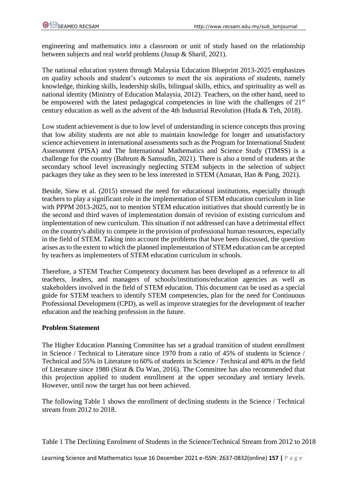engineering and mathematics into a classroom or unit of study based on the relationship between subjects and real world problems (Jusup & Sharif, 2021).

The national education system through Malaysia Education Blueprint 2013-2025 emphasizes on quality schools and student's outcomes to meet the six aspirations of students, namely knowledge, thinking skills, leadership skills, bilingual skills, ethics, and spirituality as well as national identity (Ministry of Education Malaysia, 2012). Teachers, on the other hand, need to be empowered with the latest pedagogical competencies in line with the challenges of  $21<sup>st</sup>$ century education as well as the advent of the 4th Industrial Revolution (Huda & Teh, 2018).

Low student achievement is due to low level of understanding in science concepts thus proving that low ability students are not able to maintain knowledge for longer and unsatisfactory science achievement in international assessments such as the Program for International Student Assessment (PISA) and The International Mathematics and Science Study (TIMSS) is a challenge for the country (Bahrum & Samsudin, 2021). There is also a trend of students at the secondary school level increasingly neglecting STEM subjects in the selection of subject packages they take as they seen to be less interested in STEM (Amatan, Han & Pang, 2021).

Beside, Siew et al. (2015) stressed the need for educational institutions, especially through teachers to play a significant role in the implementation of STEM education curriculum in line with PPPM 2013-2025, not to mention STEM education initiatives that should currently be in the second and third waves of implementation domain of revision of existing curriculum and implementation of new curriculum. This situation if not addressed can have a detrimental effect on the country's ability to compete in the provision of professional human resources, especially in the field of STEM. Taking into account the problems that have been discussed, the question arises as to the extent to which the planned implementation of STEM education can be accepted by teachers as implementers of STEM education curriculum in schools.

Therefore, a STEM Teacher Competency document has been developed as a reference to all teachers, leaders, and managers of schools/institutions/education agencies as well as stakeholders involved in the field of STEM education. This document can be used as a special guide for STEM teachers to identify STEM competencies, plan for the need for Continuous Professional Development (CPD), as well as improve strategies for the development of teacher education and the teaching profession in the future.

#### **Problem Statement**

The Higher Education Planning Committee has set a gradual transition of student enrollment in Science / Technical to Literature since 1970 from a ratio of 45% of students in Science / Technical and 55% in Literature to 60% of students in Science / Technical and 40% in the field of Literature since 1980 (Sirat & Da Wan, 2016). The Committee has also recommended that this projection applied to student enrollment at the upper secondary and tertiary levels. However, until now the target has not been achieved.

The following Table 1 shows the enrollment of declining students in the Science / Technical stream from 2012 to 2018.

Table 1 The Declining Enrolment of Students in the Science/Technical Stream from 2012 to 2018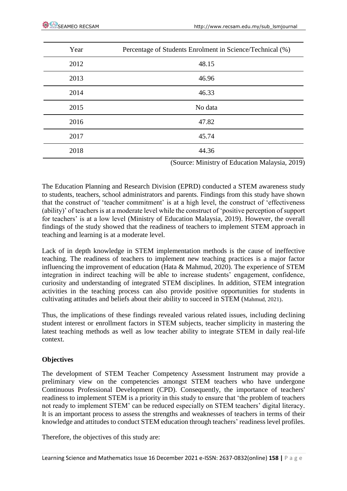| Year | Percentage of Students Enrolment in Science/Technical (%) |
|------|-----------------------------------------------------------|
| 2012 | 48.15                                                     |
| 2013 | 46.96                                                     |
| 2014 | 46.33                                                     |
| 2015 | No data                                                   |
| 2016 | 47.82                                                     |
| 2017 | 45.74                                                     |
| 2018 | 44.36                                                     |

(Source: Ministry of Education Malaysia, 2019)

The Education Planning and Research Division (EPRD) conducted a STEM awareness study to students, teachers, school administrators and parents. Findings from this study have shown that the construct of 'teacher commitment' is at a high level, the construct of 'effectiveness (ability)' of teachers is at a moderate level while the construct of 'positive perception of support for teachers' is at a low level (Ministry of Education Malaysia, 2019). However, the overall findings of the study showed that the readiness of teachers to implement STEM approach in teaching and learning is at a moderate level.

Lack of in depth knowledge in STEM implementation methods is the cause of ineffective teaching. The readiness of teachers to implement new teaching practices is a major factor influencing the improvement of education (Hata & Mahmud, 2020). The experience of STEM integration in indirect teaching will be able to increase students' engagement, confidence, curiosity and understanding of integrated STEM disciplines. In addition, STEM integration activities in the teaching process can also provide positive opportunities for students in cultivating attitudes and beliefs about their ability to succeed in STEM (Mahmud, 2021).

Thus, the implications of these findings revealed various related issues, including declining student interest or enrollment factors in STEM subjects, teacher simplicity in mastering the latest teaching methods as well as low teacher ability to integrate STEM in daily real-life context.

# **Objectives**

The development of STEM Teacher Competency Assessment Instrument may provide a preliminary view on the competencies amongst STEM teachers who have undergone Continuous Professional Development (CPD). Consequently, the importance of teachers' readiness to implement STEM is a priority in this study to ensure that 'the problem of teachers not ready to implement STEM' can be reduced especially on STEM teachers' digital literacy. It is an important process to assess the strengths and weaknesses of teachers in terms of their knowledge and attitudes to conduct STEM education through teachers' readiness level profiles.

Therefore, the objectives of this study are: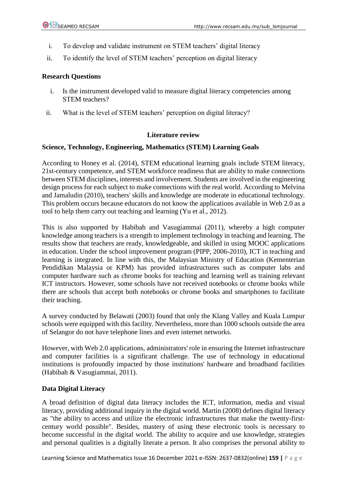- i. To develop and validate instrument on STEM teachers' digital literacy
- ii. To identify the level of STEM teachers' perception on digital literacy

#### **Research Questions**

- i. Is the instrument developed valid to measure digital literacy competencies among STEM teachers?
- ii. What is the level of STEM teachers' perception on digital literacy?

#### **Literature review**

#### **Science, Technology, Engineering, Mathematics (STEM) Learning Goals**

According to Honey et al. (2014), STEM educational learning goals include STEM literacy, 21st-century competence, and STEM workforce readiness that are ability to make connections between STEM disciplines, interests and involvement. Students are involved in the engineering design process for each subject to make connections with the real world. According to Melvina and Jamaludin (2010), teachers' skills and knowledge are moderate in educational technology. This problem occurs because educators do not know the applications available in Web 2.0 as a tool to help them carry out teaching and learning (Yu et al., 2012).

This is also supported by Habibah and Vasugiammai (2011), whereby a high computer knowledge among teachers is a strength to implement technology in teaching and learning. The results show that teachers are ready, knowledgeable, and skilled in using MOOC applications in education. Under the school improvement program (PIPP, 2006-2010), ICT in teaching and learning is integrated. In line with this, the Malaysian Ministry of Education (Kementerian Pendidikan Malaysia or KPM) has provided infrastructures such as computer labs and computer hardware such as chrome books for teaching and learning well as training relevant ICT instructors. However, some schools have not received notebooks or chrome books while there are schools that accept both notebooks or chrome books and smartphones to facilitate their teaching.

A survey conducted by Belawati (2003) found that only the Klang Valley and Kuala Lumpur schools were equipped with this facility. Nevertheless, more than 1000 schools outside the area of Selangor do not have telephone lines and even internet networks.

However, with Web 2.0 applications, administrators' role in ensuring the Internet infrastructure and computer facilities is a significant challenge. The use of technology in educational institutions is profoundly impacted by those institutions' hardware and broadband facilities (Habibah & Vasugiammai, 2011).

#### **Data Digital Literacy**

A broad definition of digital data literacy includes the ICT, information, media and visual literacy, providing additional inquiry in the digital world. Martin (2008) defines digital literacy as "the ability to access and utilize the electronic infrastructures that make the twenty-firstcentury world possible". Besides, mastery of using these electronic tools is necessary to become successful in the digital world. The ability to acquire and use knowledge, strategies and personal qualities is a digitally literate a person. It also comprises the personal ability to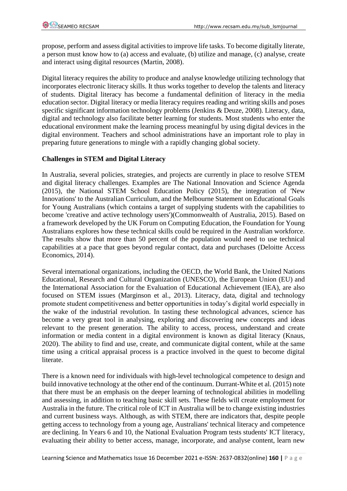propose, perform and assess digital activities to improve life tasks. To become digitally literate, a person must know how to (a) access and evaluate, (b) utilize and manage, (c) analyse, create and interact using digital resources (Martin, 2008).

Digital literacy requires the ability to produce and analyse knowledge utilizing technology that incorporates electronic literacy skills. It thus works together to develop the talents and literacy of students. Digital literacy has become a fundamental definition of literacy in the media education sector. Digital literacy or media literacy requires reading and writing skills and poses specific significant information technology problems (Jenkins & Deuze, 2008). Literacy, data, digital and technology also facilitate better learning for students. Most students who enter the educational environment make the learning process meaningful by using digital devices in the digital environment. Teachers and school administrations have an important role to play in preparing future generations to mingle with a rapidly changing global society.

## **Challenges in STEM and Digital Literacy**

In Australia, several policies, strategies, and projects are currently in place to resolve STEM and digital literacy challenges. Examples are The National Innovation and Science Agenda (2015), the National STEM School Education Policy (2015), the integration of 'New Innovations' to the Australian Curriculum, and the Melbourne Statement on Educational Goals for Young Australians (which contains a target of supplying students with the capabilities to become 'creative and active technology users')(Commonwealth of Australia, 2015). Based on a framework developed by the UK Forum on Computing Education, the Foundation for Young Australians explores how these technical skills could be required in the Australian workforce. The results show that more than 50 percent of the population would need to use technical capabilities at a pace that goes beyond regular contact, data and purchases (Deloitte Access Economics, 2014).

Several international organizations, including the OECD, the World Bank, the United Nations Educational, Research and Cultural Organization (UNESCO), the European Union (EU) and the International Association for the Evaluation of Educational Achievement (IEA), are also focused on STEM issues (Marginson et al., 2013). Literacy, data, digital and technology promote student competitiveness and better opportunities in today's digital world especially in the wake of the industrial revolution. In tasting these technological advances, science has become a very great tool in analysing, exploring and discovering new concepts and ideas relevant to the present generation. The ability to access, process, understand and create information or media content in a digital environment is known as digital literacy (Knaus, 2020). The ability to find and use, create, and communicate digital content, while at the same time using a critical appraisal process is a practice involved in the quest to become digital literate.

There is a known need for individuals with high-level technological competence to design and build innovative technology at the other end of the continuum. Durrant-White et al. (2015) note that there must be an emphasis on the deeper learning of technological abilities in modelling and assessing, in addition to teaching basic skill sets. These fields will create employment for Australia in the future. The critical role of ICT in Australia will be to change existing industries and current business ways. Although, as with STEM, there are indicators that, despite people getting access to technology from a young age, Australians' technical literacy and competence are declining. In Years 6 and 10, the National Evaluation Program tests students' ICT literacy, evaluating their ability to better access, manage, incorporate, and analyse content, learn new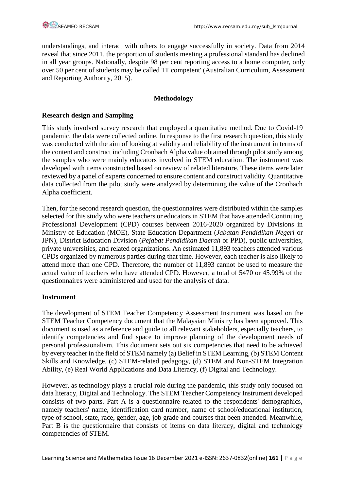understandings, and interact with others to engage successfully in society. Data from 2014 reveal that since 2011, the proportion of students meeting a professional standard has declined in all year groups. Nationally, despite 98 per cent reporting access to a home computer, only over 50 per cent of students may be called 'IT competent' (Australian Curriculum, Assessment and Reporting Authority, 2015).

## **Methodology**

### **Research design and Sampling**

This study involved survey research that employed a quantitative method. Due to Covid-19 pandemic, the data were collected online. In response to the first research question, this study was conducted with the aim of looking at validity and reliability of the instrument in terms of the content and construct including Cronbach Alpha value obtained through pilot study among the samples who were mainly educators involved in STEM education. The instrument was developed with items constructed based on review of related literature. These items were later reviewed by a panel of experts concerned to ensure content and construct validity. Quantitative data collected from the pilot study were analyzed by determining the value of the Cronbach Alpha coefficient.

Then, for the second research question, the questionnaires were distributed within the samples selected for this study who were teachers or educators in STEM that have attended Continuing Professional Development (CPD) courses between 2016-2020 organized by Divisions in Ministry of Education (MOE), State Education Department (*Jabatan Pendidikan Negeri* or JPN), District Education Division (*Pejabat Pendidikan Daerah* or PPD), public universities, private universities, and related organizations. An estimated 11,893 teachers attended various CPDs organized by numerous parties during that time. However, each teacher is also likely to attend more than one CPD. Therefore, the number of 11,893 cannot be used to measure the actual value of teachers who have attended CPD. However, a total of 5470 or 45.99% of the questionnaires were administered and used for the analysis of data.

#### **Instrument**

The development of STEM Teacher Competency Assessment Instrument was based on the STEM Teacher Competency document that the Malaysian Ministry has been approved. This document is used as a reference and guide to all relevant stakeholders, especially teachers, to identify competencies and find space to improve planning of the development needs of personal professionalism. This document sets out six competencies that need to be achieved by every teacher in the field of STEM namely (a) Belief in STEM Learning, (b) STEM Content Skills and Knowledge, (c) STEM-related pedagogy, (d) STEM and Non-STEM Integration Ability, (e) Real World Applications and Data Literacy, (f) Digital and Technology.

However, as technology plays a crucial role during the pandemic, this study only focused on data literacy, Digital and Technology. The STEM Teacher Competency Instrument developed consists of two parts. Part A is a questionnaire related to the respondents' demographics, namely teachers' name, identification card number, name of school/educational institution, type of school, state, race, gender, age, job grade and courses that been attended. Meanwhile, Part B is the questionnaire that consists of items on data literacy, digital and technology competencies of STEM.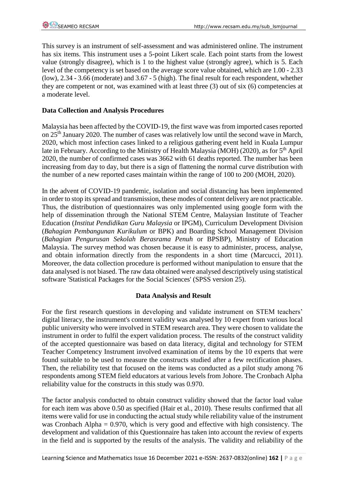This survey is an instrument of self-assessment and was administered online. The instrument has six items. This instrument uses a 5-point Likert scale. Each point starts from the lowest value (strongly disagree), which is 1 to the highest value (strongly agree), which is 5. Each level of the competency is set based on the average score value obtained, which are 1.00 - 2.33 (low), 2.34 - 3.66 (moderate) and 3.67 - 5 (high). The final result for each respondent, whether they are competent or not, was examined with at least three (3) out of six (6) competencies at a moderate level.

### **Data Collection and Analysis Procedures**

Malaysia has been affected by the COVID-19, the first wave was from imported cases reported on 25<sup>th</sup> January 2020. The number of cases was relatively low until the second wave in March, 2020, which most infection cases linked to a religious gathering event held in Kuala Lumpur late in February. According to the Ministry of Health Malaysia (MOH) (2020), as for 5<sup>th</sup> April 2020, the number of confirmed cases was 3662 with 61 deaths reported. The number has been increasing from day to day, but there is a sign of flattening the normal curve distribution with the number of a new reported cases maintain within the range of 100 to 200 (MOH, 2020).

In the advent of COVID-19 pandemic, isolation and social distancing has been implemented in order to stop its spread and transmission, these modes of content delivery are not practicable. Thus, the distribution of questionnaires was only implemented using google form with the help of dissemination through the National STEM Centre, Malaysian Institute of Teacher Education (*Institut Pendidikan Guru Malaysia* or IPGM), Curriculum Development Division (*Bahagian Pembangunan Kurikulum* or BPK) and Boarding School Management Division (*Bahagian Pengurusan Sekolah Berasrama Penuh* or BPSBP), Ministry of Education Malaysia. The survey method was chosen because it is easy to administer, process, analyse, and obtain information directly from the respondents in a short time (Marcucci, 2011). Moreover, the data collection procedure is performed without manipulation to ensure that the data analysed is not biased. The raw data obtained were analysed descriptively using statistical software 'Statistical Packages for the Social Sciences' (SPSS version 25).

# **Data Analysis and Result**

For the first research questions in developing and validate instrument on STEM teachers' digital literacy, the instrument's content validity was analysed by 10 expert from various local public university who were involved in STEM research area. They were chosen to validate the instrument in order to fulfil the expert validation process. The results of the construct validity of the accepted questionnaire was based on data literacy, digital and technology for STEM Teacher Competency Instrument involved examination of items by the 10 experts that were found suitable to be used to measure the constructs studied after a few rectification phases. Then, the reliability test that focused on the items was conducted as a pilot study among 76 respondents among STEM field educators at various levels from Johore. The Cronbach Alpha reliability value for the constructs in this study was 0.970.

The factor analysis conducted to obtain construct validity showed that the factor load value for each item was above 0.50 as specified (Hair et al., 2010). These results confirmed that all items were valid for use in conducting the actual study while reliability value of the instrument was Cronbach Alpha = 0.970, which is very good and effective with high consistency. The development and validation of this Questionnaire has taken into account the review of experts in the field and is supported by the results of the analysis. The validity and reliability of the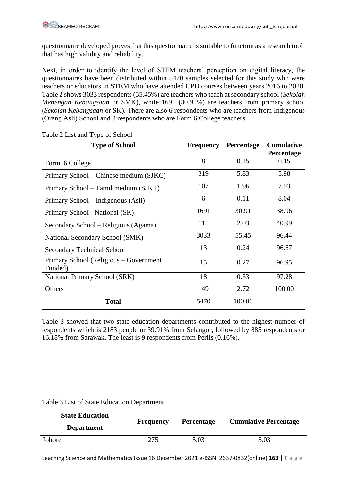questionnaire developed proves that this questionnaire is suitable to function as a research tool that has high validity and reliability.

Next, in order to identify the level of STEM teachers' perception on digital literacy, the questionnaires have been distributed within 5470 samples selected for this study who were teachers or educators in STEM who have attended CPD courses between years 2016 to 2020**.**  Table 2 shows 3033 respondents (55.45%) are teachers who teach at secondary school (*Sekolah Menengah Kebangsaan* or SMK), while 1691 (30.91%) are teachers from primary school (*Sekolah Kebangsaan* or SK). There are also 6 respondents who are teachers from Indigenous (Orang Asli) School and 8 respondents who are Form 6 College teachers.

| <b>Type of School</b>                             | <b>Frequency</b> | <b>Percentage</b> | <b>Cumulative</b> |
|---------------------------------------------------|------------------|-------------------|-------------------|
|                                                   |                  |                   | <b>Percentage</b> |
| Form 6 College                                    | 8                | 0.15              | 0.15              |
| Primary School – Chinese medium (SJKC)            | 319              | 5.83              | 5.98              |
| Primary School – Tamil medium (SJKT)              | 107              | 1.96              | 7.93              |
| Primary School – Indigenous (Asli)                | 6                | 0.11              | 8.04              |
| Primary School - National (SK)                    | 1691             | 30.91             | 38.96             |
| Secondary School – Religious (Agama)              | 111              | 2.03              | 40.99             |
| National Secondary School (SMK)                   | 3033             | 55.45             | 96.44             |
| <b>Secondary Technical School</b>                 | 13               | 0.24              | 96.67             |
| Primary School (Religious – Government<br>Funded) | 15               | 0.27              | 96.95             |
| National Primary School (SRK)                     | 18               | 0.33              | 97.28             |
| Others                                            | 149              | 2.72              | 100.00            |
| <b>Total</b>                                      | 5470             | 100.00            |                   |

Table 2 List and Type of School

Table 3 showed that two state education departments contributed to the highest number of respondents which is 2183 people or 39.91% from Selangor, followed by 885 respondents or 16.18% from Sarawak. The least is 9 respondents from Perlis (0.16%).

Table 3 List of State Education Department

| <b>State Education</b><br><b>Department</b> | <b>Frequency</b> | <b>Percentage</b> | <b>Cumulative Percentage</b> |  |
|---------------------------------------------|------------------|-------------------|------------------------------|--|
| Johore                                      | 275              | 5.03              | 5.03                         |  |

Learning Science and Mathematics Issue 16 December 2021 e-ISSN: 2637-0832(online) **163 |** P a g e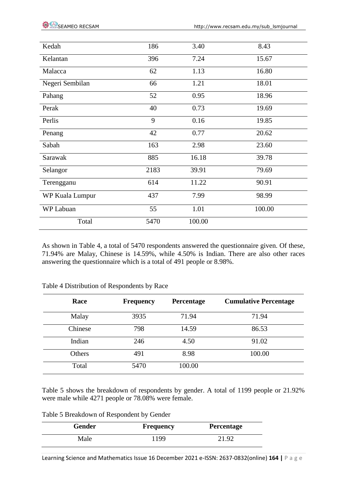| Kedah           | 186  | 3.40   | 8.43   |
|-----------------|------|--------|--------|
| Kelantan        | 396  | 7.24   | 15.67  |
| Malacca         | 62   | 1.13   | 16.80  |
| Negeri Sembilan | 66   | 1.21   | 18.01  |
| Pahang          | 52   | 0.95   | 18.96  |
| Perak           | 40   | 0.73   | 19.69  |
| Perlis          | 9    | 0.16   | 19.85  |
| Penang          | 42   | 0.77   | 20.62  |
| Sabah           | 163  | 2.98   | 23.60  |
| Sarawak         | 885  | 16.18  | 39.78  |
| Selangor        | 2183 | 39.91  | 79.69  |
| Terengganu      | 614  | 11.22  | 90.91  |
| WP Kuala Lumpur | 437  | 7.99   | 98.99  |
| WP Labuan       | 55   | 1.01   | 100.00 |
| Total           | 5470 | 100.00 |        |

As shown in Table 4, a total of 5470 respondents answered the questionnaire given. Of these, 71.94% are Malay, Chinese is 14.59%, while 4.50% is Indian. There are also other races answering the questionnaire which is a total of 491 people or 8.98%.

| Race    | <b>Frequency</b> | Percentage | <b>Cumulative Percentage</b> |
|---------|------------------|------------|------------------------------|
| Malay   | 3935             | 71.94      | 71.94                        |
| Chinese | 798              | 14.59      | 86.53                        |
| Indian  | 246              | 4.50       | 91.02                        |
| Others  | 491              | 8.98       | 100.00                       |
| Total   | 5470             | 100.00     |                              |

Table 4 Distribution of Respondents by Race

Table 5 shows the breakdown of respondents by gender. A total of 1199 people or 21.92% were male while 4271 people or 78.08% were female.

Table 5 Breakdown of Respondent by Gender

| Gender | Frequency | <b>Percentage</b> |
|--------|-----------|-------------------|
| Male   | 1199      | 21.92             |

Learning Science and Mathematics Issue 16 December 2021 e-ISSN: 2637-0832(online) **164 |** P a g e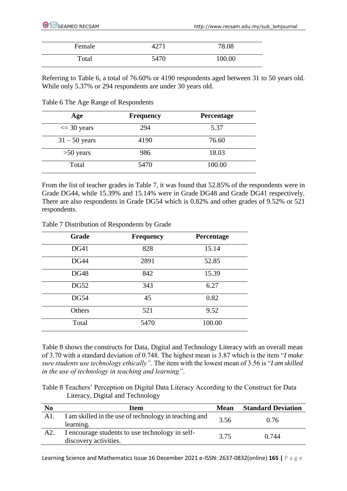| Female | 4271 | 78.08  |
|--------|------|--------|
| Total  | 5470 | 100.00 |

Referring to Table 6, a total of 76.60% or 4190 respondents aged between 31 to 50 years old. While only 5.37% or 294 respondents are under 30 years old.

Table 6 The Age Range of Respondents

| Age                   | <b>Frequency</b> | Percentage |
|-----------------------|------------------|------------|
| $\epsilon$ = 30 years | 294              | 5.37       |
| $31 - 50$ years       | 4190             | 76.60      |
| $>50$ years           | 986              | 18.03      |
| Total                 | 5470             | 100.00     |

From the list of teacher grades in Table 7, it was found that 52.85% of the respondents were in Grade DG44, while 15.39% and 15.14% were in Grade DG48 and Grade DG41 respectively. There are also respondents in Grade DG54 which is 0.82% and other grades of 9.52% or 521 respondents.

| <b>Grade</b> | <b>Frequency</b> | <b>Percentage</b> |
|--------------|------------------|-------------------|
| <b>DG41</b>  | 828              | 15.14             |
| <b>DG44</b>  | 2891             | 52.85             |
| <b>DG48</b>  | 842              | 15.39             |
| <b>DG52</b>  | 343              | 6.27              |
| <b>DG54</b>  | 45               | 0.82              |
| Others       | 521              | 9.52              |
| Total        | 5470             | 100.00            |

Table 7 Distribution of Respondents by Grade

Table 8 shows the constructs for Data, Digital and Technology Literacy with an overall mean of 3.70 with a standard deviation of 0.748. The highest mean is 3.87 which is the item "*I make sure students use technology ethically"*. The item with the lowest mean of 3.56 is "*I am skilled in the use of technology in teaching and learning"*.

Table 8 Teachers' Perception on Digital Data Literacy According to the Construct for Data Literacy, Digital and Technology

| N <sub>0</sub> | Item                                                                     | Mean | <b>Standard Deviation</b> |
|----------------|--------------------------------------------------------------------------|------|---------------------------|
| A1.            | I am skilled in the use of technology in teaching and<br>learning.       | 3.56 | 0.76                      |
| A2.            | I encourage students to use technology in self-<br>discovery activities. | 3.75 | 0.744                     |

Learning Science and Mathematics Issue 16 December 2021 e-ISSN: 2637-0832(online) **165 |** P a g e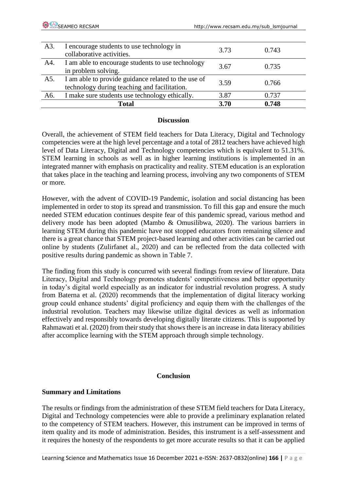| A3. | I encourage students to use technology in<br>collaborative activities.                              | 3.73 | 0.743 |
|-----|-----------------------------------------------------------------------------------------------------|------|-------|
| A4. | I am able to encourage students to use technology<br>in problem solving.                            | 3.67 | 0.735 |
| A5. | I am able to provide guidance related to the use of<br>technology during teaching and facilitation. | 3.59 | 0.766 |
| A6. | I make sure students use technology ethically.                                                      | 3.87 | 0.737 |
|     | <b>Total</b>                                                                                        | 3.70 | 0.748 |

#### **Discussion**

Overall, the achievement of STEM field teachers for Data Literacy, Digital and Technology competencies were at the high level percentage and a total of 2812 teachers have achieved high level of Data Literacy, Digital and Technology competencies which is equivalent to 51.31%. STEM learning in schools as well as in higher learning institutions is implemented in an integrated manner with emphasis on practicality and reality. STEM education is an exploration that takes place in the teaching and learning process, involving any two components of STEM or more.

However, with the advent of COVID-19 Pandemic, isolation and social distancing has been implemented in order to stop its spread and transmission. To fill this gap and ensure the much needed STEM education continues despite fear of this pandemic spread, various method and delivery mode has been adopted (Mambo & Omusilibwa, 2020). The various barriers in learning STEM during this pandemic have not stopped educators from remaining silence and there is a great chance that STEM project-based learning and other activities can be carried out online by students (Zulirfanet al., 2020) and can be reflected from the data collected with positive results during pandemic as shown in Table 7.

The finding from this study is concurred with several findings from review of literature. Data Literacy, Digital and Technology promotes students' competitiveness and better opportunity in today's digital world especially as an indicator for industrial revolution progress. A study from Baterna et al. (2020) recommends that the implementation of digital literacy working group could enhance students' digital proficiency and equip them with the challenges of the industrial revolution. Teachers may likewise utilize digital devices as well as information effectively and responsibly towards developing digitally literate citizens. This is supported by Rahmawati et al. (2020) from their study that shows there is an increase in data literacy abilities after accomplice learning with the STEM approach through simple technology.

#### **Conclusion**

# **Summary and Limitations**

The results or findings from the administration of these STEM field teachers for Data Literacy, Digital and Technology competencies were able to provide a preliminary explanation related to the competency of STEM teachers. However, this instrument can be improved in terms of item quality and its mode of administration. Besides, this instrument is a self-assessment and it requires the honesty of the respondents to get more accurate results so that it can be applied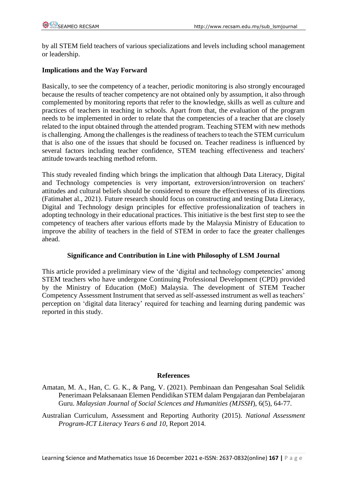by all STEM field teachers of various specializations and levels including school management or leadership.

## **Implications and the Way Forward**

Basically, to see the competency of a teacher, periodic monitoring is also strongly encouraged because the results of teacher competency are not obtained only by assumption, it also through complemented by monitoring reports that refer to the knowledge, skills as well as culture and practices of teachers in teaching in schools. Apart from that, the evaluation of the program needs to be implemented in order to relate that the competencies of a teacher that are closely related to the input obtained through the attended program. Teaching STEM with new methods is challenging. Among the challenges is the readiness of teachers to teach the STEM curriculum that is also one of the issues that should be focused on. Teacher readiness is influenced by several factors including teacher confidence, STEM teaching effectiveness and teachers' attitude towards teaching method reform.

This study revealed finding which brings the implication that although Data Literacy, Digital and Technology competencies is very important, extroversion/introversion on teachers' attitudes and cultural beliefs should be considered to ensure the effectiveness of its directions (Fatimahet al., 2021). Future research should focus on constructing and testing Data Literacy, Digital and Technology design principles for effective professionalization of teachers in adopting technology in their educational practices. This initiative is the best first step to see the competency of teachers after various efforts made by the Malaysia Ministry of Education to improve the ability of teachers in the field of STEM in order to face the greater challenges ahead.

# **Significance and Contribution in Line with Philosophy of LSM Journal**

This article provided a preliminary view of the 'digital and technology competencies' among STEM teachers who have undergone Continuing Professional Development (CPD) provided by the Ministry of Education (MoE) Malaysia. The development of STEM Teacher Competency Assessment Instrument that served as self-assessed instrument as well as teachers' perception on 'digital data literacy' required for teaching and learning during pandemic was reported in this study.

#### **References**

Amatan, M. A., Han, C. G. K., & Pang, V. (2021). Pembinaan dan Pengesahan Soal Selidik Penerimaan Pelaksanaan Elemen Pendidikan STEM dalam Pengajaran dan Pembelajaran Guru. *Malaysian Journal of Social Sciences and Humanities (MJSSH*), 6(5), 64-77.

Australian Curriculum, Assessment and Reporting Authority (2015). *National Assessment Program-ICT Literacy Years 6 and 10*, Report 2014.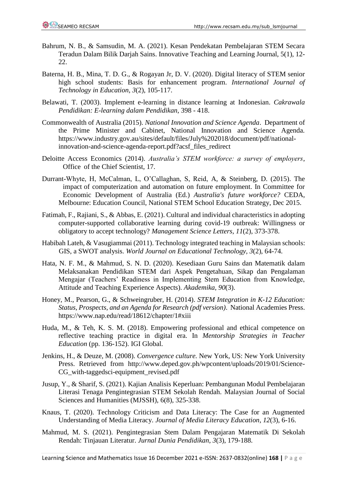- Bahrum, N. B., & Samsudin, M. A. (2021). Kesan Pendekatan Pembelajaran STEM Secara Teradun Dalam Bilik Darjah Sains. Innovative Teaching and Learning Journal, 5(1), 12- 22.
- Baterna, H. B., Mina, T. D. G., & Rogayan Jr, D. V. (2020). Digital literacy of STEM senior high school students: Basis for enhancement program. *International Journal of Technology in Education*, *3*(2), 105-117.
- Belawati, T. (2003). Implement e-learning in distance learning at Indonesian. *Cakrawala Pendidikan: E-learning dalam Pendidikan*, 398 - 418.
- Commonwealth of Australia (2015). *National Innovation and Science Agenda*. Department of the Prime Minister and Cabinet, National Innovation and Science Agenda. https://www.industry.gov.au/sites/default/files/July%202018/document/pdf/nationalinnovation-and-science-agenda-report.pdf?acsf\_files\_redirect
- Deloitte Access Economics (2014). *Australia's STEM workforce: a survey of employers*, Office of the Chief Scientist, 17.
- Durrant-Whyte, H, McCalman, L, O'Callaghan, S, Reid, A, & Steinberg, D. (2015). The impact of computerization and automation on future employment. In Committee for Economic Development of Australia (Ed.) *Australia's future workforce?* CEDA, Melbourne: Education Council, National STEM School Education Strategy, Dec 2015.
- Fatimah, F., Rajiani, S., & Abbas, E. (2021). Cultural and individual characteristics in adopting computer-supported collaborative learning during covid-19 outbreak: Willingness or obligatory to accept technology? *Management Science Letters*, *11*(2), 373-378.
- Habibah Lateh, & Vasugiammai (2011). Technology integrated teaching in Malaysian schools: GIS, a SWOT analysis. *World Journal on Educational Technology, 3*(2), 64-74.
- Hata, N. F. M., & Mahmud, S. N. D. (2020). Kesediaan Guru Sains dan Matematik dalam Melaksanakan Pendidikan STEM dari Aspek Pengetahuan, Sikap dan Pengalaman Mengajar (Teachers' Readiness in Implementing Stem Education from Knowledge, Attitude and Teaching Experience Aspects). *Akademika*, *90*(3).
- Honey, M., Pearson, G., & Schweingruber, H. (2014). *STEM Integration in K-12 Education: Status, Prospects, and an Agenda for Research (pdf version)*. National Academies Press. https://www.nap.edu/read/18612/chapter/1#xiii
- Huda, M., & Teh, K. S. M. (2018). Empowering professional and ethical competence on reflective teaching practice in digital era. In *Mentorship Strategies in Teacher Education* (pp. 136-152). IGI Global.
- Jenkins, H., & Deuze, M. (2008). *Convergence culture.* New York, US: New York University Press. Retrieved from http://www.deped.gov.ph/wpcontent/uploads/2019/01/Science-CG\_with-taggedsci-equipment\_revised.pdf
- Jusup, Y., & Sharif, S. (2021). Kajian Analisis Keperluan: Pembangunan Modul Pembelajaran Literasi Tenaga Pengintegrasian STEM Sekolah Rendah. Malaysian Journal of Social Sciences and Humanities (MJSSH), 6(8), 325-338.
- Knaus, T. (2020). Technology Criticism and Data Literacy: The Case for an Augmented Understanding of Media Literacy. *Journal of Media Literacy Education*, *12*(3), 6-16.
- Mahmud, M. S. (2021). Pengintegrasian Stem Dalam Pengajaran Matematik Di Sekolah Rendah: Tinjauan Literatur. *Jurnal Dunia Pendidikan*, *3*(3), 179-188.

Learning Science and Mathematics Issue 16 December 2021 e-ISSN: 2637-0832(online) **168 |** P a g e